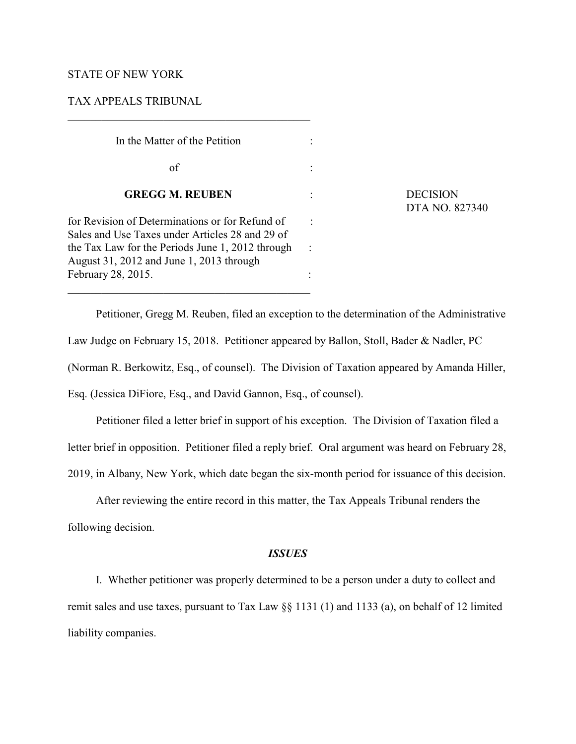## STATE OF NEW YORK

## TAX APPEALS TRIBUNAL

| In the Matter of the Petition                                                                      |  |  |  |
|----------------------------------------------------------------------------------------------------|--|--|--|
| οf                                                                                                 |  |  |  |
| <b>GREGG M. REUBEN</b>                                                                             |  |  |  |
| for Revision of Determinations or for Refund of<br>Sales and Use Taxes under Articles 28 and 29 of |  |  |  |
| the Tax Law for the Periods June 1, 2012 through<br>August 31, 2012 and June 1, 2013 through       |  |  |  |
| February 28, 2015.                                                                                 |  |  |  |

\_\_\_\_\_\_\_\_\_\_\_\_\_\_\_\_\_\_\_\_\_\_\_\_\_\_\_\_\_\_\_\_\_\_\_\_\_\_\_\_\_\_\_

 **GREGG M. REUBEN** : DECISION DTA NO. 827340

Petitioner, Gregg M. Reuben, filed an exception to the determination of the Administrative Law Judge on February 15, 2018. Petitioner appeared by Ballon, Stoll, Bader & Nadler, PC (Norman R. Berkowitz, Esq., of counsel). The Division of Taxation appeared by Amanda Hiller,

Esq. (Jessica DiFiore, Esq., and David Gannon, Esq., of counsel).

Petitioner filed a letter brief in support of his exception. The Division of Taxation filed a letter brief in opposition. Petitioner filed a reply brief. Oral argument was heard on February 28, 2019, in Albany, New York, which date began the six-month period for issuance of this decision.

After reviewing the entire record in this matter, the Tax Appeals Tribunal renders the following decision.

# *ISSUES*

I. Whether petitioner was properly determined to be a person under a duty to collect and remit sales and use taxes, pursuant to Tax Law §§ 1131 (1) and 1133 (a), on behalf of 12 limited liability companies.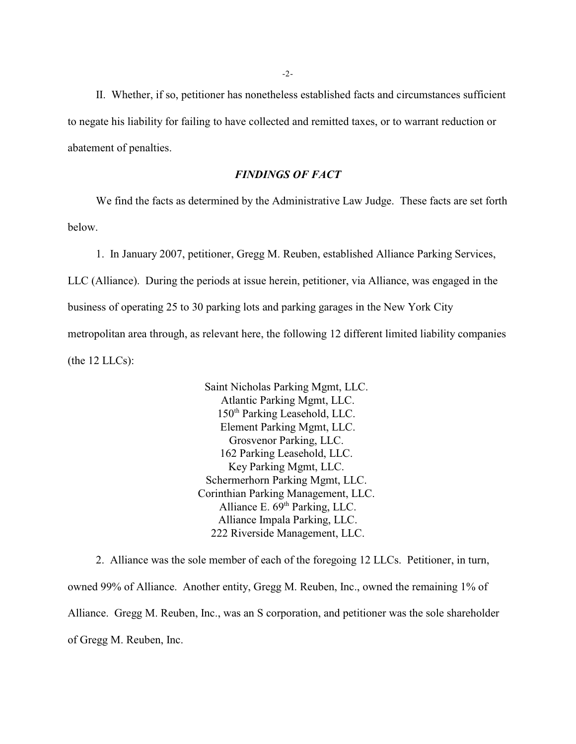II. Whether, if so, petitioner has nonetheless established facts and circumstances sufficient to negate his liability for failing to have collected and remitted taxes, or to warrant reduction or abatement of penalties.

#### *FINDINGS OF FACT*

We find the facts as determined by the Administrative Law Judge. These facts are set forth below.

1. In January 2007, petitioner, Gregg M. Reuben, established Alliance Parking Services,

LLC (Alliance). During the periods at issue herein, petitioner, via Alliance, was engaged in the business of operating 25 to 30 parking lots and parking garages in the New York City metropolitan area through, as relevant here, the following 12 different limited liability companies (the 12 LLCs):

> Saint Nicholas Parking Mgmt, LLC. Atlantic Parking Mgmt, LLC.  $150<sup>th</sup>$  Parking Leasehold, LLC. Element Parking Mgmt, LLC. Grosvenor Parking, LLC. 162 Parking Leasehold, LLC. Key Parking Mgmt, LLC. Schermerhorn Parking Mgmt, LLC. Corinthian Parking Management, LLC. Alliance E.  $69<sup>th</sup>$  Parking, LLC. Alliance Impala Parking, LLC. 222 Riverside Management, LLC.

2. Alliance was the sole member of each of the foregoing 12 LLCs. Petitioner, in turn, owned 99% of Alliance. Another entity, Gregg M. Reuben, Inc., owned the remaining 1% of Alliance. Gregg M. Reuben, Inc., was an S corporation, and petitioner was the sole shareholder of Gregg M. Reuben, Inc.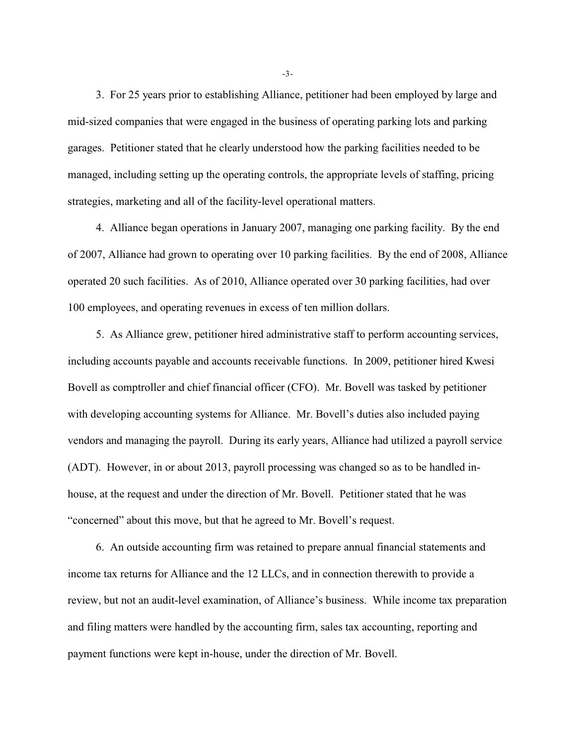3. For 25 years prior to establishing Alliance, petitioner had been employed by large and mid-sized companies that were engaged in the business of operating parking lots and parking garages. Petitioner stated that he clearly understood how the parking facilities needed to be managed, including setting up the operating controls, the appropriate levels of staffing, pricing strategies, marketing and all of the facility-level operational matters.

4. Alliance began operations in January 2007, managing one parking facility. By the end of 2007, Alliance had grown to operating over 10 parking facilities. By the end of 2008, Alliance operated 20 such facilities. As of 2010, Alliance operated over 30 parking facilities, had over 100 employees, and operating revenues in excess of ten million dollars.

5. As Alliance grew, petitioner hired administrative staff to perform accounting services, including accounts payable and accounts receivable functions. In 2009, petitioner hired Kwesi Bovell as comptroller and chief financial officer (CFO). Mr. Bovell was tasked by petitioner with developing accounting systems for Alliance. Mr. Bovell's duties also included paying vendors and managing the payroll. During its early years, Alliance had utilized a payroll service (ADT). However, in or about 2013, payroll processing was changed so as to be handled inhouse, at the request and under the direction of Mr. Bovell. Petitioner stated that he was "concerned" about this move, but that he agreed to Mr. Bovell's request.

6. An outside accounting firm was retained to prepare annual financial statements and income tax returns for Alliance and the 12 LLCs, and in connection therewith to provide a review, but not an audit-level examination, of Alliance's business. While income tax preparation and filing matters were handled by the accounting firm, sales tax accounting, reporting and payment functions were kept in-house, under the direction of Mr. Bovell.

-3-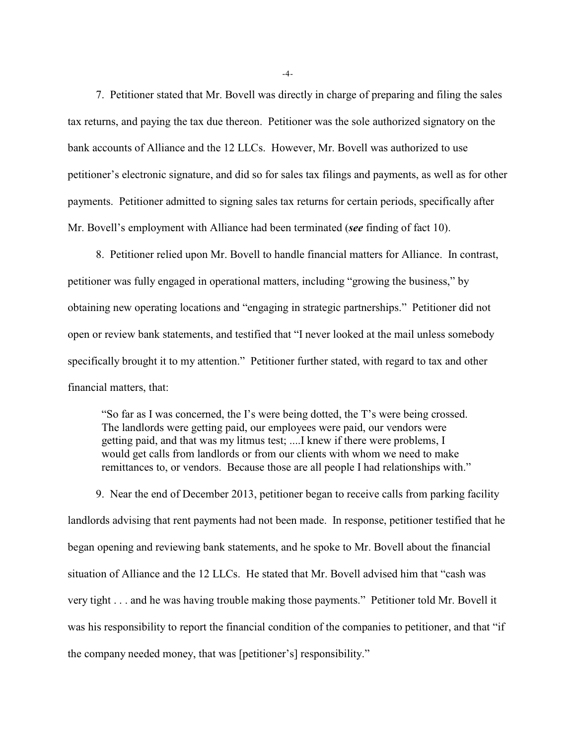7. Petitioner stated that Mr. Bovell was directly in charge of preparing and filing the sales tax returns, and paying the tax due thereon. Petitioner was the sole authorized signatory on the bank accounts of Alliance and the 12 LLCs. However, Mr. Bovell was authorized to use petitioner's electronic signature, and did so for sales tax filings and payments, as well as for other payments. Petitioner admitted to signing sales tax returns for certain periods, specifically after Mr. Bovell's employment with Alliance had been terminated (*see* finding of fact 10).

8. Petitioner relied upon Mr. Bovell to handle financial matters for Alliance. In contrast, petitioner was fully engaged in operational matters, including "growing the business," by obtaining new operating locations and "engaging in strategic partnerships." Petitioner did not open or review bank statements, and testified that "I never looked at the mail unless somebody specifically brought it to my attention." Petitioner further stated, with regard to tax and other financial matters, that:

"So far as I was concerned, the I's were being dotted, the T's were being crossed. The landlords were getting paid, our employees were paid, our vendors were getting paid, and that was my litmus test; ....I knew if there were problems, I would get calls from landlords or from our clients with whom we need to make remittances to, or vendors. Because those are all people I had relationships with."

9. Near the end of December 2013, petitioner began to receive calls from parking facility landlords advising that rent payments had not been made. In response, petitioner testified that he began opening and reviewing bank statements, and he spoke to Mr. Bovell about the financial situation of Alliance and the 12 LLCs. He stated that Mr. Bovell advised him that "cash was very tight . . . and he was having trouble making those payments." Petitioner told Mr. Bovell it was his responsibility to report the financial condition of the companies to petitioner, and that "if the company needed money, that was [petitioner's] responsibility."

-4-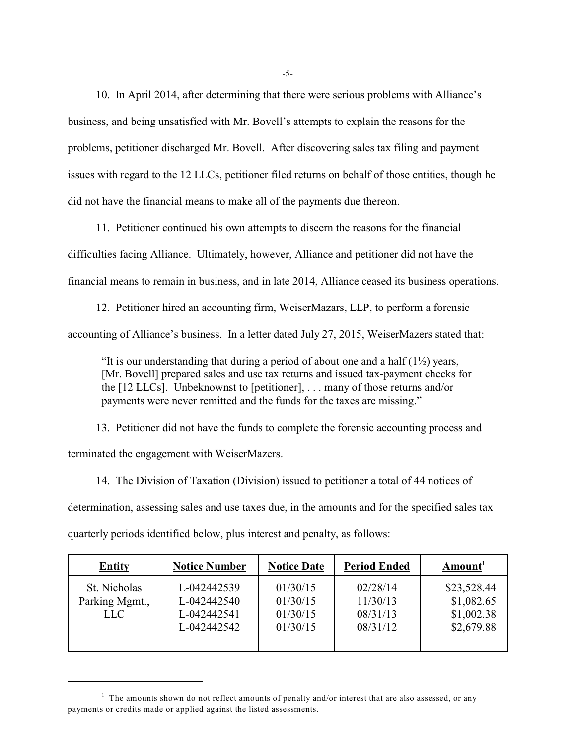10. In April 2014, after determining that there were serious problems with Alliance's business, and being unsatisfied with Mr. Bovell's attempts to explain the reasons for the problems, petitioner discharged Mr. Bovell. After discovering sales tax filing and payment issues with regard to the 12 LLCs, petitioner filed returns on behalf of those entities, though he did not have the financial means to make all of the payments due thereon.

11. Petitioner continued his own attempts to discern the reasons for the financial difficulties facing Alliance. Ultimately, however, Alliance and petitioner did not have the financial means to remain in business, and in late 2014, Alliance ceased its business operations.

12. Petitioner hired an accounting firm, WeiserMazars, LLP, to perform a forensic accounting of Alliance's business. In a letter dated July 27, 2015, WeiserMazers stated that:

"It is our understanding that during a period of about one and a half  $(1\frac{1}{2})$  years, [Mr. Bovell] prepared sales and use tax returns and issued tax-payment checks for the [12 LLCs]. Unbeknownst to [petitioner], . . . many of those returns and/or payments were never remitted and the funds for the taxes are missing."

13. Petitioner did not have the funds to complete the forensic accounting process and terminated the engagement with WeiserMazers.

14. The Division of Taxation (Division) issued to petitioner a total of 44 notices of determination, assessing sales and use taxes due, in the amounts and for the specified sales tax quarterly periods identified below, plus interest and penalty, as follows:

| <b>Entity</b>                                | <b>Notice Number</b>                                     | <b>Notice Date</b>                           | <b>Period Ended</b>                          | Amount                                                |
|----------------------------------------------|----------------------------------------------------------|----------------------------------------------|----------------------------------------------|-------------------------------------------------------|
| St. Nicholas<br>Parking Mgmt.,<br><b>LLC</b> | L-042442539<br>L-042442540<br>L-042442541<br>L-042442542 | 01/30/15<br>01/30/15<br>01/30/15<br>01/30/15 | 02/28/14<br>11/30/13<br>08/31/13<br>08/31/12 | \$23,528.44<br>\$1,082.65<br>\$1,002.38<br>\$2,679.88 |

 $1$  The amounts shown do not reflect amounts of penalty and/or interest that are also assessed, or any payments or credits made or applied against the listed assessments.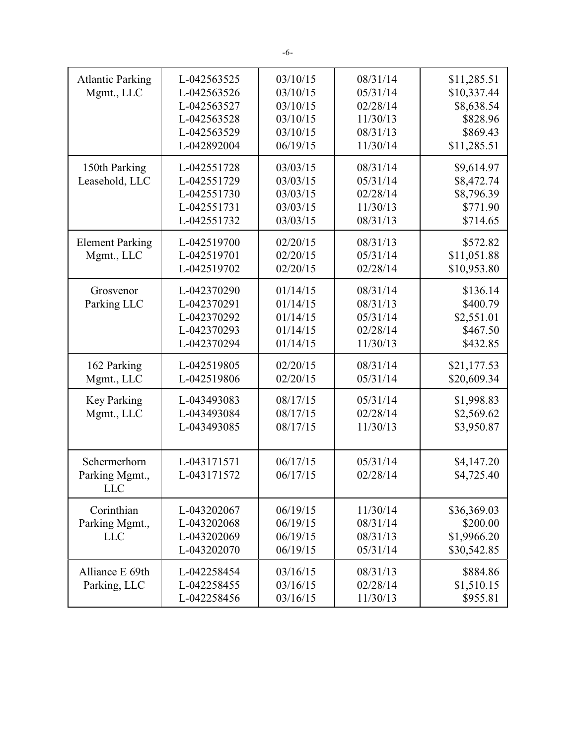| <b>Atlantic Parking</b><br>Mgmt., LLC      | L-042563525<br>L-042563526<br>L-042563527<br>L-042563528<br>L-042563529<br>L-042892004 | 03/10/15<br>03/10/15<br>03/10/15<br>03/10/15<br>03/10/15<br>06/19/15 | 08/31/14<br>05/31/14<br>02/28/14<br>11/30/13<br>08/31/13<br>11/30/14 | \$11,285.51<br>\$10,337.44<br>\$8,638.54<br>\$828.96<br>\$869.43<br>\$11,285.51 |
|--------------------------------------------|----------------------------------------------------------------------------------------|----------------------------------------------------------------------|----------------------------------------------------------------------|---------------------------------------------------------------------------------|
| 150th Parking<br>Leasehold, LLC            | L-042551728<br>L-042551729<br>L-042551730<br>L-042551731<br>L-042551732                | 03/03/15<br>03/03/15<br>03/03/15<br>03/03/15<br>03/03/15             | 08/31/14<br>05/31/14<br>02/28/14<br>11/30/13<br>08/31/13             | \$9,614.97<br>\$8,472.74<br>\$8,796.39<br>\$771.90<br>\$714.65                  |
| <b>Element Parking</b><br>Mgmt., LLC       | L-042519700<br>L-042519701<br>L-042519702                                              | 02/20/15<br>02/20/15<br>02/20/15                                     | 08/31/13<br>05/31/14<br>02/28/14                                     | \$572.82<br>\$11,051.88<br>\$10,953.80                                          |
| Grosvenor<br>Parking LLC                   | L-042370290<br>L-042370291<br>L-042370292<br>L-042370293<br>L-042370294                | 01/14/15<br>01/14/15<br>01/14/15<br>01/14/15<br>01/14/15             | 08/31/14<br>08/31/13<br>05/31/14<br>02/28/14<br>11/30/13             | \$136.14<br>\$400.79<br>\$2,551.01<br>\$467.50<br>\$432.85                      |
| 162 Parking<br>Mgmt., LLC                  | L-042519805<br>L-042519806                                                             | 02/20/15<br>02/20/15                                                 | 08/31/14<br>05/31/14                                                 | \$21,177.53<br>\$20,609.34                                                      |
| <b>Key Parking</b><br>Mgmt., LLC           | L-043493083<br>L-043493084<br>L-043493085                                              | 08/17/15<br>08/17/15<br>08/17/15                                     | 05/31/14<br>02/28/14<br>11/30/13                                     | \$1,998.83<br>\$2,569.62<br>\$3,950.87                                          |
| Schermerhorn<br>Parking Mgmt.,<br>LLC      | L-043171571<br>L-043171572                                                             | 06/17/15<br>06/17/15                                                 | 05/31/14<br>02/28/14                                                 | \$4,147.20<br>\$4,725.40                                                        |
| Corinthian<br>Parking Mgmt.,<br><b>LLC</b> | L-043202067<br>L-043202068<br>L-043202069<br>L-043202070                               | 06/19/15<br>06/19/15<br>06/19/15<br>06/19/15                         | 11/30/14<br>08/31/14<br>08/31/13<br>05/31/14                         | \$36,369.03<br>\$200.00<br>\$1,9966.20<br>\$30,542.85                           |
| Alliance E 69th<br>Parking, LLC            | L-042258454<br>L-042258455<br>L-042258456                                              | 03/16/15<br>03/16/15<br>03/16/15                                     | 08/31/13<br>02/28/14<br>11/30/13                                     | \$884.86<br>\$1,510.15<br>\$955.81                                              |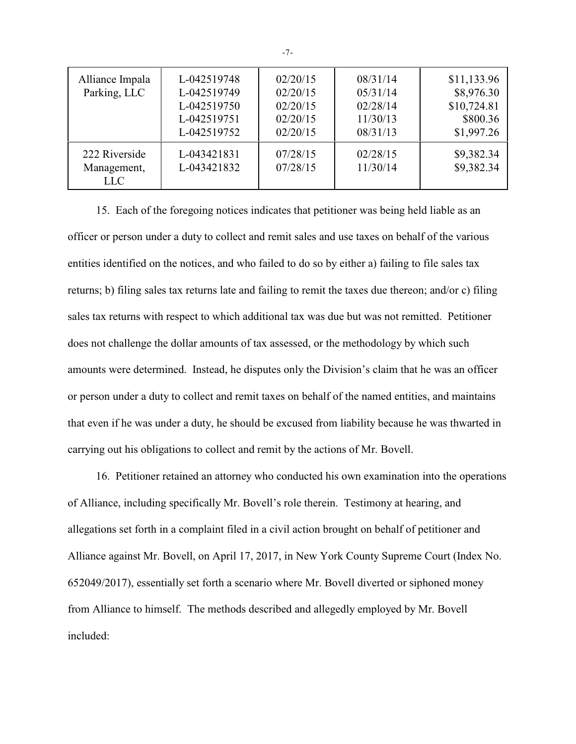| Alliance Impala<br>Parking, LLC            | L-042519748<br>L-042519749<br>L-042519750<br>L-042519751<br>L-042519752 | 02/20/15<br>02/20/15<br>02/20/15<br>02/20/15<br>02/20/15 | 08/31/14<br>05/31/14<br>02/28/14<br>11/30/13<br>08/31/13 | \$11,133.96<br>\$8,976.30<br>\$10,724.81<br>\$800.36<br>\$1,997.26 |
|--------------------------------------------|-------------------------------------------------------------------------|----------------------------------------------------------|----------------------------------------------------------|--------------------------------------------------------------------|
| 222 Riverside<br>Management,<br><b>LLC</b> | L-043421831<br>L-043421832                                              | 07/28/15<br>07/28/15                                     | 02/28/15<br>11/30/14                                     | \$9,382.34<br>\$9,382.34                                           |

15. Each of the foregoing notices indicates that petitioner was being held liable as an officer or person under a duty to collect and remit sales and use taxes on behalf of the various entities identified on the notices, and who failed to do so by either a) failing to file sales tax returns; b) filing sales tax returns late and failing to remit the taxes due thereon; and/or c) filing sales tax returns with respect to which additional tax was due but was not remitted. Petitioner does not challenge the dollar amounts of tax assessed, or the methodology by which such amounts were determined. Instead, he disputes only the Division's claim that he was an officer or person under a duty to collect and remit taxes on behalf of the named entities, and maintains that even if he was under a duty, he should be excused from liability because he was thwarted in carrying out his obligations to collect and remit by the actions of Mr. Bovell.

16. Petitioner retained an attorney who conducted his own examination into the operations of Alliance, including specifically Mr. Bovell's role therein. Testimony at hearing, and allegations set forth in a complaint filed in a civil action brought on behalf of petitioner and Alliance against Mr. Bovell, on April 17, 2017, in New York County Supreme Court (Index No. 652049/2017), essentially set forth a scenario where Mr. Bovell diverted or siphoned money from Alliance to himself. The methods described and allegedly employed by Mr. Bovell included: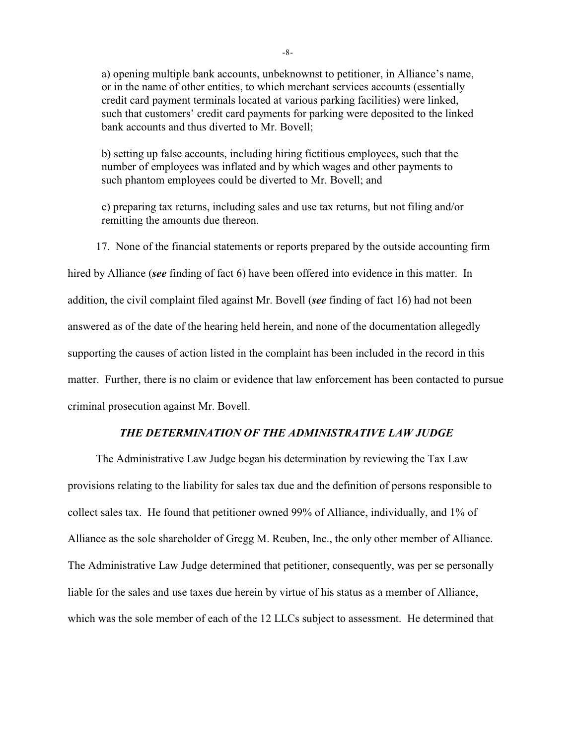a) opening multiple bank accounts, unbeknownst to petitioner, in Alliance's name, or in the name of other entities, to which merchant services accounts (essentially credit card payment terminals located at various parking facilities) were linked, such that customers' credit card payments for parking were deposited to the linked bank accounts and thus diverted to Mr. Bovell;

b) setting up false accounts, including hiring fictitious employees, such that the number of employees was inflated and by which wages and other payments to such phantom employees could be diverted to Mr. Bovell; and

c) preparing tax returns, including sales and use tax returns, but not filing and/or remitting the amounts due thereon.

17. None of the financial statements or reports prepared by the outside accounting firm

hired by Alliance (*see* finding of fact 6) have been offered into evidence in this matter. In addition, the civil complaint filed against Mr. Bovell (*see* finding of fact 16) had not been answered as of the date of the hearing held herein, and none of the documentation allegedly supporting the causes of action listed in the complaint has been included in the record in this matter. Further, there is no claim or evidence that law enforcement has been contacted to pursue criminal prosecution against Mr. Bovell.

### *THE DETERMINATION OF THE ADMINISTRATIVE LAW JUDGE*

The Administrative Law Judge began his determination by reviewing the Tax Law provisions relating to the liability for sales tax due and the definition of persons responsible to collect sales tax. He found that petitioner owned 99% of Alliance, individually, and 1% of Alliance as the sole shareholder of Gregg M. Reuben, Inc., the only other member of Alliance. The Administrative Law Judge determined that petitioner, consequently, was per se personally liable for the sales and use taxes due herein by virtue of his status as a member of Alliance, which was the sole member of each of the 12 LLCs subject to assessment. He determined that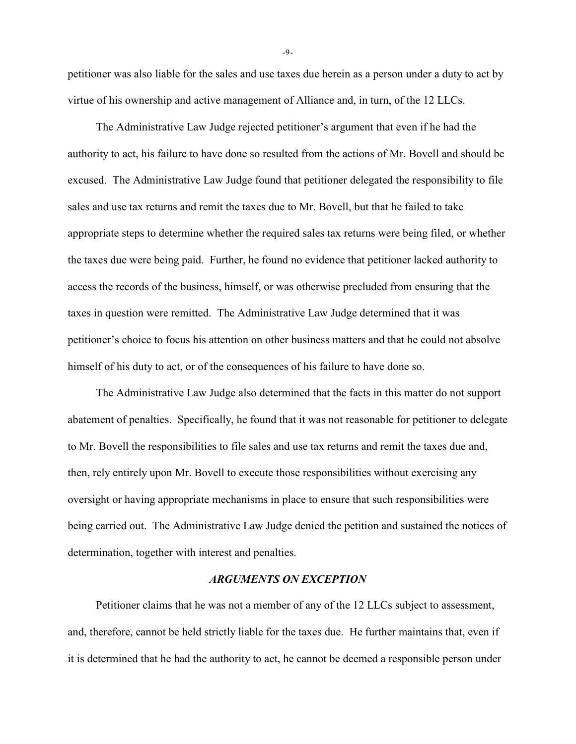petitioner was also liable for the sales and use taxes due herein as a person under a duty to act by virtue of his ownership and active management of Alliance and, in turn, of the 12 LLCs.

The Administrative Law Judge rejected petitioner's argument that even if he had the authority to act, his failure to have done so resulted from the actions of Mr. Bovell and should be excused. The Administrative Law Judge found that petitioner delegated the responsibility to file sales and use tax returns and remit the taxes due to Mr. Bovell, but that he failed to take appropriate steps to determine whether the required sales tax returns were being filed, or whether the taxes due were being paid. Further, he found no evidence that petitioner lacked authority to access the records of the business, himself, or was otherwise precluded from ensuring that the taxes in question were remitted. The Administrative Law Judge determined that it was petitioner's choice to focus his attention on other business matters and that he could not absolve himself of his duty to act, or of the consequences of his failure to have done so.

The Administrative Law Judge also determined that the facts in this matter do not support abatement of penalties. Specifically, he found that it was not reasonable for petitioner to delegate to Mr. Bovell the responsibilities to file sales and use tax returns and remit the taxes due and, then, rely entirely upon Mr. Bovell to execute those responsibilities without exercising any oversight or having appropriate mechanisms in place to ensure that such responsibilities were being carried out. The Administrative Law Judge denied the petition and sustained the notices of determination, together with interest and penalties.

# *ARGUMENTS ON EXCEPTION*

Petitioner claims that he was not a member of any of the 12 LLCs subject to assessment, and, therefore, cannot be held strictly liable for the taxes due. He further maintains that, even if it is determined that he had the authority to act, he cannot be deemed a responsible person under

-9-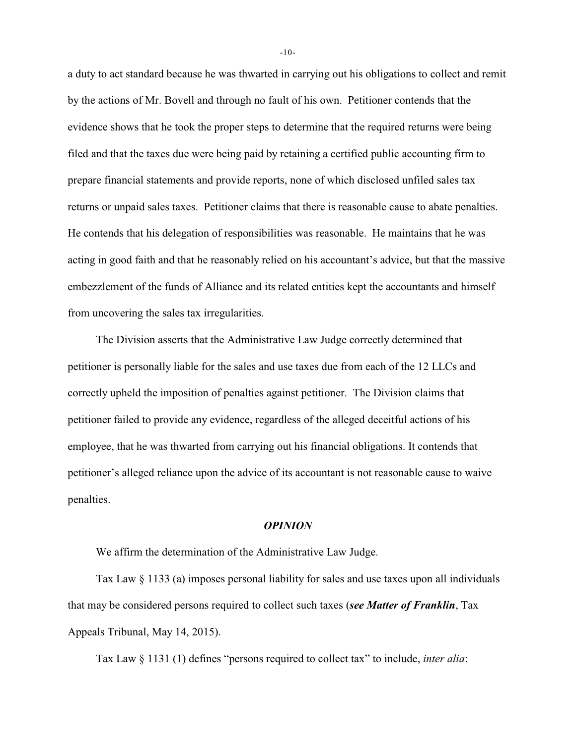a duty to act standard because he was thwarted in carrying out his obligations to collect and remit by the actions of Mr. Bovell and through no fault of his own. Petitioner contends that the evidence shows that he took the proper steps to determine that the required returns were being filed and that the taxes due were being paid by retaining a certified public accounting firm to prepare financial statements and provide reports, none of which disclosed unfiled sales tax returns or unpaid sales taxes. Petitioner claims that there is reasonable cause to abate penalties. He contends that his delegation of responsibilities was reasonable. He maintains that he was acting in good faith and that he reasonably relied on his accountant's advice, but that the massive embezzlement of the funds of Alliance and its related entities kept the accountants and himself from uncovering the sales tax irregularities.

The Division asserts that the Administrative Law Judge correctly determined that petitioner is personally liable for the sales and use taxes due from each of the 12 LLCs and correctly upheld the imposition of penalties against petitioner. The Division claims that petitioner failed to provide any evidence, regardless of the alleged deceitful actions of his employee, that he was thwarted from carrying out his financial obligations. It contends that petitioner's alleged reliance upon the advice of its accountant is not reasonable cause to waive penalties.

#### *OPINION*

We affirm the determination of the Administrative Law Judge.

Tax Law § 1133 (a) imposes personal liability for sales and use taxes upon all individuals that may be considered persons required to collect such taxes (*see Matter of Franklin*, Tax Appeals Tribunal, May 14, 2015).

Tax Law § 1131 (1) defines "persons required to collect tax" to include, *inter alia*:

-10-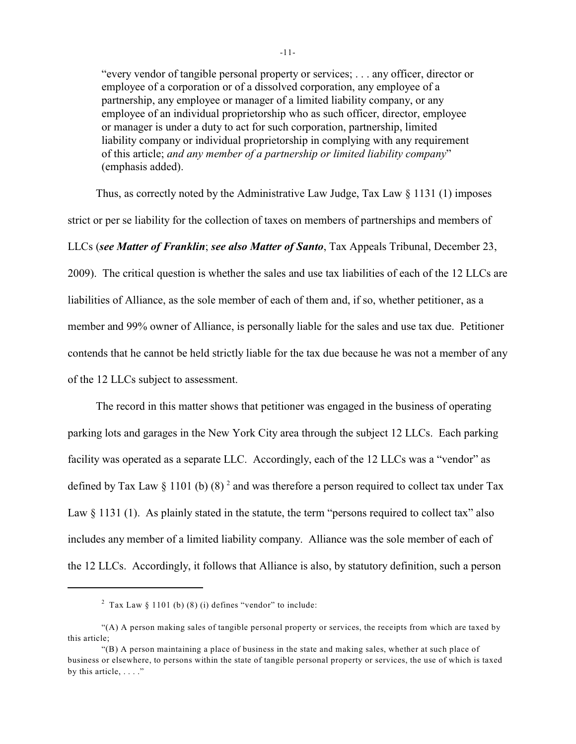"every vendor of tangible personal property or services; . . . any officer, director or employee of a corporation or of a dissolved corporation, any employee of a partnership, any employee or manager of a limited liability company, or any employee of an individual proprietorship who as such officer, director, employee or manager is under a duty to act for such corporation, partnership, limited liability company or individual proprietorship in complying with any requirement of this article; *and any member of a partnership or limited liability company*" (emphasis added).

Thus, as correctly noted by the Administrative Law Judge, Tax Law  $\S 1131$  (1) imposes strict or per se liability for the collection of taxes on members of partnerships and members of LLCs (*see Matter of Franklin*; *see also Matter of Santo*, Tax Appeals Tribunal, December 23, 2009). The critical question is whether the sales and use tax liabilities of each of the 12 LLCs are liabilities of Alliance, as the sole member of each of them and, if so, whether petitioner, as a member and 99% owner of Alliance, is personally liable for the sales and use tax due. Petitioner contends that he cannot be held strictly liable for the tax due because he was not a member of any of the 12 LLCs subject to assessment.

The record in this matter shows that petitioner was engaged in the business of operating parking lots and garages in the New York City area through the subject 12 LLCs. Each parking facility was operated as a separate LLC. Accordingly, each of the 12 LLCs was a "vendor" as defined by Tax Law § 1101 (b) (8)<sup>2</sup> and was therefore a person required to collect tax under Tax Law  $\S 1131$  (1). As plainly stated in the statute, the term "persons required to collect tax" also includes any member of a limited liability company. Alliance was the sole member of each of the 12 LLCs. Accordingly, it follows that Alliance is also, by statutory definition, such a person

<sup>&</sup>lt;sup>2</sup> Tax Law  $\S$  1101 (b) (8) (i) defines "vendor" to include:

<sup>&</sup>quot;(A) A person making sales of tangible personal property or services, the receipts from which are taxed by this article;

<sup>&</sup>quot;(B) A person maintaining a place of business in the state and making sales, whether at such place of business or elsewhere, to persons within the state of tangible personal property or services, the use of which is taxed by this article,  $\dots$ ."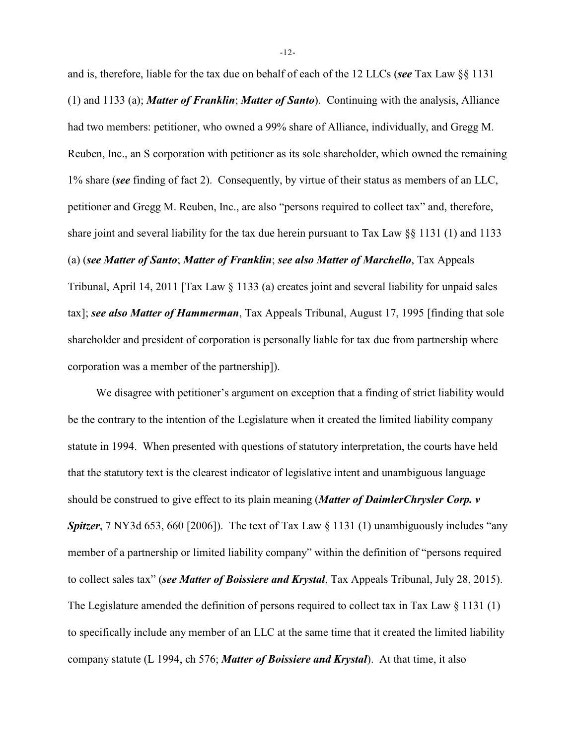and is, therefore, liable for the tax due on behalf of each of the 12 LLCs (*see* Tax Law §§ 1131 (1) and 1133 (a); *Matter of Franklin*; *Matter of Santo*). Continuing with the analysis, Alliance had two members: petitioner, who owned a 99% share of Alliance, individually, and Gregg M. Reuben, Inc., an S corporation with petitioner as its sole shareholder, which owned the remaining 1% share (*see* finding of fact 2). Consequently, by virtue of their status as members of an LLC, petitioner and Gregg M. Reuben, Inc., are also "persons required to collect tax" and, therefore, share joint and several liability for the tax due herein pursuant to Tax Law §§ 1131 (1) and 1133 (a) (*see Matter of Santo*; *Matter of Franklin*; *see also Matter of Marchello*, Tax Appeals Tribunal, April 14, 2011 [Tax Law § 1133 (a) creates joint and several liability for unpaid sales tax]; *see also Matter of Hammerman*, Tax Appeals Tribunal, August 17, 1995 [finding that sole shareholder and president of corporation is personally liable for tax due from partnership where corporation was a member of the partnership]).

We disagree with petitioner's argument on exception that a finding of strict liability would be the contrary to the intention of the Legislature when it created the limited liability company statute in 1994. When presented with questions of statutory interpretation, the courts have held that the statutory text is the clearest indicator of legislative intent and unambiguous language should be construed to give effect to its plain meaning (*Matter of DaimlerChrysler Corp. v Spitzer*, 7 NY3d 653, 660 [2006]). The text of Tax Law § 1131 (1) unambiguously includes "any member of a partnership or limited liability company" within the definition of "persons required to collect sales tax" (*see Matter of Boissiere and Krystal*, Tax Appeals Tribunal, July 28, 2015). The Legislature amended the definition of persons required to collect tax in Tax Law § 1131 (1) to specifically include any member of an LLC at the same time that it created the limited liability company statute (L 1994, ch 576; *Matter of Boissiere and Krystal*). At that time, it also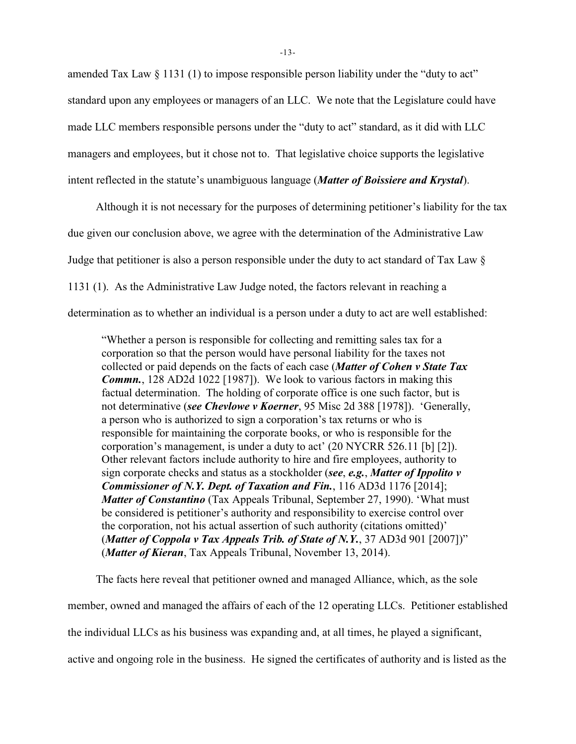amended Tax Law  $\S$  1131 (1) to impose responsible person liability under the "duty to act" standard upon any employees or managers of an LLC. We note that the Legislature could have made LLC members responsible persons under the "duty to act" standard, as it did with LLC managers and employees, but it chose not to. That legislative choice supports the legislative intent reflected in the statute's unambiguous language (*Matter of Boissiere and Krystal*).

Although it is not necessary for the purposes of determining petitioner's liability for the tax due given our conclusion above, we agree with the determination of the Administrative Law Judge that petitioner is also a person responsible under the duty to act standard of Tax Law § 1131 (1). As the Administrative Law Judge noted, the factors relevant in reaching a determination as to whether an individual is a person under a duty to act are well established:

"Whether a person is responsible for collecting and remitting sales tax for a corporation so that the person would have personal liability for the taxes not collected or paid depends on the facts of each case (*Matter of Cohen v State Tax Commn.*, 128 AD2d 1022 [1987]). We look to various factors in making this factual determination. The holding of corporate office is one such factor, but is not determinative (*see Chevlowe v Koerner*, 95 Misc 2d 388 [1978]). 'Generally, a person who is authorized to sign a corporation's tax returns or who is responsible for maintaining the corporate books, or who is responsible for the corporation's management, is under a duty to act' (20 NYCRR 526.11 [b] [2]). Other relevant factors include authority to hire and fire employees, authority to sign corporate checks and status as a stockholder (*see*, *e.g.*, *Matter of Ippolito v Commissioner of N.Y. Dept. of Taxation and Fin.*, 116 AD3d 1176 [2014]; *Matter of Constantino* (Tax Appeals Tribunal, September 27, 1990). 'What must be considered is petitioner's authority and responsibility to exercise control over the corporation, not his actual assertion of such authority (citations omitted)' (*Matter of Coppola v Tax Appeals Trib. of State of N.Y.*, 37 AD3d 901 [2007])" (*Matter of Kieran*, Tax Appeals Tribunal, November 13, 2014).

The facts here reveal that petitioner owned and managed Alliance, which, as the sole member, owned and managed the affairs of each of the 12 operating LLCs. Petitioner established the individual LLCs as his business was expanding and, at all times, he played a significant, active and ongoing role in the business. He signed the certificates of authority and is listed as the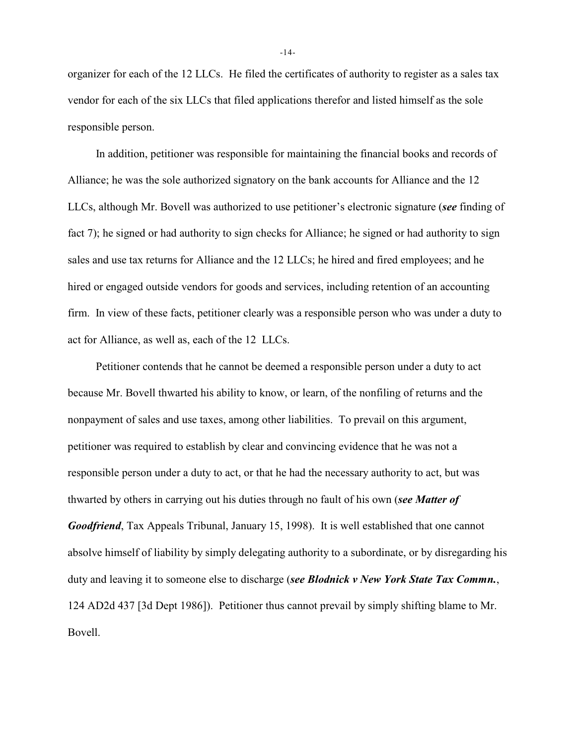organizer for each of the 12 LLCs. He filed the certificates of authority to register as a sales tax vendor for each of the six LLCs that filed applications therefor and listed himself as the sole responsible person.

In addition, petitioner was responsible for maintaining the financial books and records of Alliance; he was the sole authorized signatory on the bank accounts for Alliance and the 12 LLCs, although Mr. Bovell was authorized to use petitioner's electronic signature (*see* finding of fact 7); he signed or had authority to sign checks for Alliance; he signed or had authority to sign sales and use tax returns for Alliance and the 12 LLCs; he hired and fired employees; and he hired or engaged outside vendors for goods and services, including retention of an accounting firm. In view of these facts, petitioner clearly was a responsible person who was under a duty to act for Alliance, as well as, each of the 12 LLCs.

Petitioner contends that he cannot be deemed a responsible person under a duty to act because Mr. Bovell thwarted his ability to know, or learn, of the nonfiling of returns and the nonpayment of sales and use taxes, among other liabilities. To prevail on this argument, petitioner was required to establish by clear and convincing evidence that he was not a responsible person under a duty to act, or that he had the necessary authority to act, but was thwarted by others in carrying out his duties through no fault of his own (*see Matter of Goodfriend*, Tax Appeals Tribunal, January 15, 1998). It is well established that one cannot absolve himself of liability by simply delegating authority to a subordinate, or by disregarding his duty and leaving it to someone else to discharge (*see Blodnick v New York State Tax Commn.*, 124 AD2d 437 [3d Dept 1986]). Petitioner thus cannot prevail by simply shifting blame to Mr. Bovell.

-14-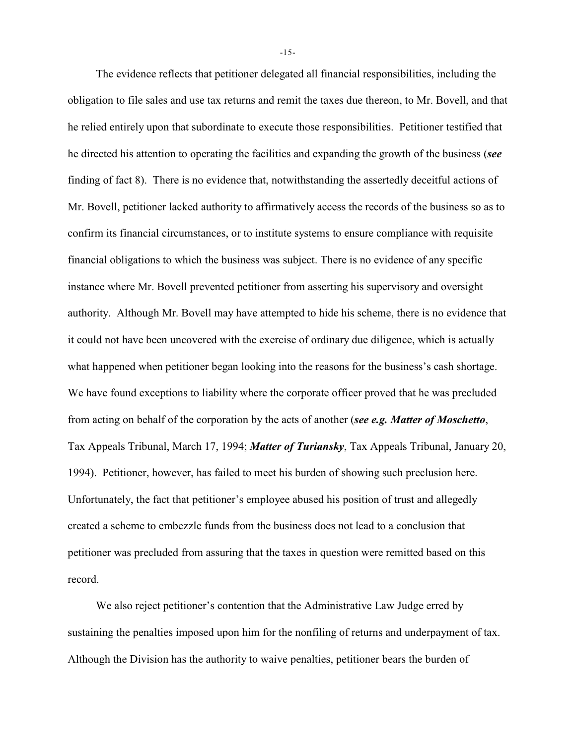The evidence reflects that petitioner delegated all financial responsibilities, including the obligation to file sales and use tax returns and remit the taxes due thereon, to Mr. Bovell, and that he relied entirely upon that subordinate to execute those responsibilities. Petitioner testified that he directed his attention to operating the facilities and expanding the growth of the business (*see* finding of fact 8). There is no evidence that, notwithstanding the assertedly deceitful actions of Mr. Bovell, petitioner lacked authority to affirmatively access the records of the business so as to confirm its financial circumstances, or to institute systems to ensure compliance with requisite financial obligations to which the business was subject. There is no evidence of any specific instance where Mr. Bovell prevented petitioner from asserting his supervisory and oversight authority. Although Mr. Bovell may have attempted to hide his scheme, there is no evidence that it could not have been uncovered with the exercise of ordinary due diligence, which is actually what happened when petitioner began looking into the reasons for the business's cash shortage. We have found exceptions to liability where the corporate officer proved that he was precluded from acting on behalf of the corporation by the acts of another (*see e.g. Matter of Moschetto*, Tax Appeals Tribunal, March 17, 1994; *Matter of Turiansky*, Tax Appeals Tribunal, January 20, 1994). Petitioner, however, has failed to meet his burden of showing such preclusion here. Unfortunately, the fact that petitioner's employee abused his position of trust and allegedly created a scheme to embezzle funds from the business does not lead to a conclusion that petitioner was precluded from assuring that the taxes in question were remitted based on this record.

We also reject petitioner's contention that the Administrative Law Judge erred by sustaining the penalties imposed upon him for the nonfiling of returns and underpayment of tax. Although the Division has the authority to waive penalties, petitioner bears the burden of

-15-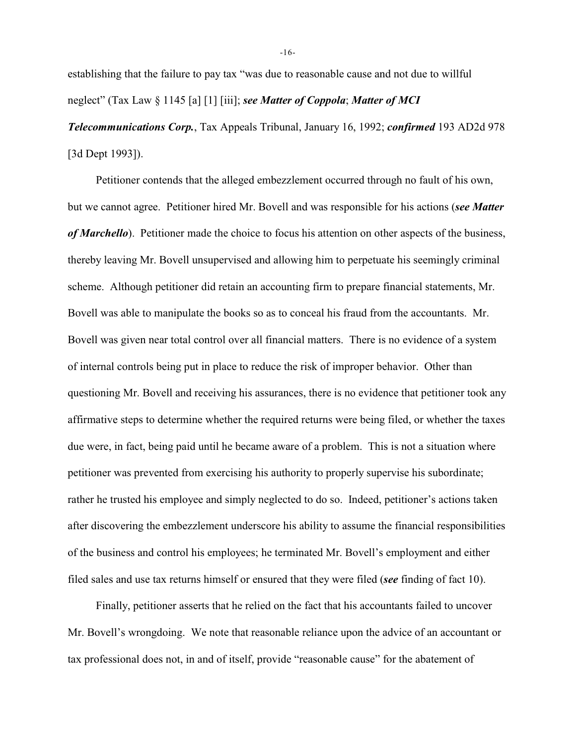establishing that the failure to pay tax "was due to reasonable cause and not due to willful neglect" (Tax Law § 1145 [a] [1] [iii]; *see Matter of Coppola*; *Matter of MCI*

*Telecommunications Corp.*, Tax Appeals Tribunal, January 16, 1992; *confirmed* 193 AD2d 978 [3d Dept 1993]).

Petitioner contends that the alleged embezzlement occurred through no fault of his own, but we cannot agree. Petitioner hired Mr. Bovell and was responsible for his actions (*see Matter of Marchello*). Petitioner made the choice to focus his attention on other aspects of the business, thereby leaving Mr. Bovell unsupervised and allowing him to perpetuate his seemingly criminal scheme. Although petitioner did retain an accounting firm to prepare financial statements, Mr. Bovell was able to manipulate the books so as to conceal his fraud from the accountants. Mr. Bovell was given near total control over all financial matters. There is no evidence of a system of internal controls being put in place to reduce the risk of improper behavior. Other than questioning Mr. Bovell and receiving his assurances, there is no evidence that petitioner took any affirmative steps to determine whether the required returns were being filed, or whether the taxes due were, in fact, being paid until he became aware of a problem. This is not a situation where petitioner was prevented from exercising his authority to properly supervise his subordinate; rather he trusted his employee and simply neglected to do so. Indeed, petitioner's actions taken after discovering the embezzlement underscore his ability to assume the financial responsibilities of the business and control his employees; he terminated Mr. Bovell's employment and either filed sales and use tax returns himself or ensured that they were filed (*see* finding of fact 10).

Finally, petitioner asserts that he relied on the fact that his accountants failed to uncover Mr. Bovell's wrongdoing. We note that reasonable reliance upon the advice of an accountant or tax professional does not, in and of itself, provide "reasonable cause" for the abatement of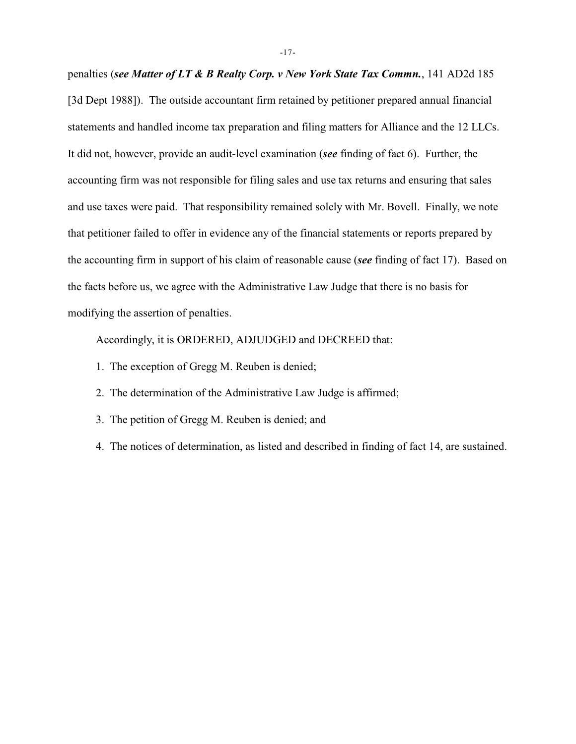penalties (*see Matter of LT & B Realty Corp. v New York State Tax Commn.*, 141 AD2d 185 [3d Dept 1988]). The outside accountant firm retained by petitioner prepared annual financial statements and handled income tax preparation and filing matters for Alliance and the 12 LLCs. It did not, however, provide an audit-level examination (*see* finding of fact 6). Further, the accounting firm was not responsible for filing sales and use tax returns and ensuring that sales and use taxes were paid. That responsibility remained solely with Mr. Bovell. Finally, we note that petitioner failed to offer in evidence any of the financial statements or reports prepared by the accounting firm in support of his claim of reasonable cause (*see* finding of fact 17). Based on the facts before us, we agree with the Administrative Law Judge that there is no basis for modifying the assertion of penalties.

Accordingly, it is ORDERED, ADJUDGED and DECREED that:

- 1. The exception of Gregg M. Reuben is denied;
- 2. The determination of the Administrative Law Judge is affirmed;
- 3. The petition of Gregg M. Reuben is denied; and
- 4. The notices of determination, as listed and described in finding of fact 14, are sustained.